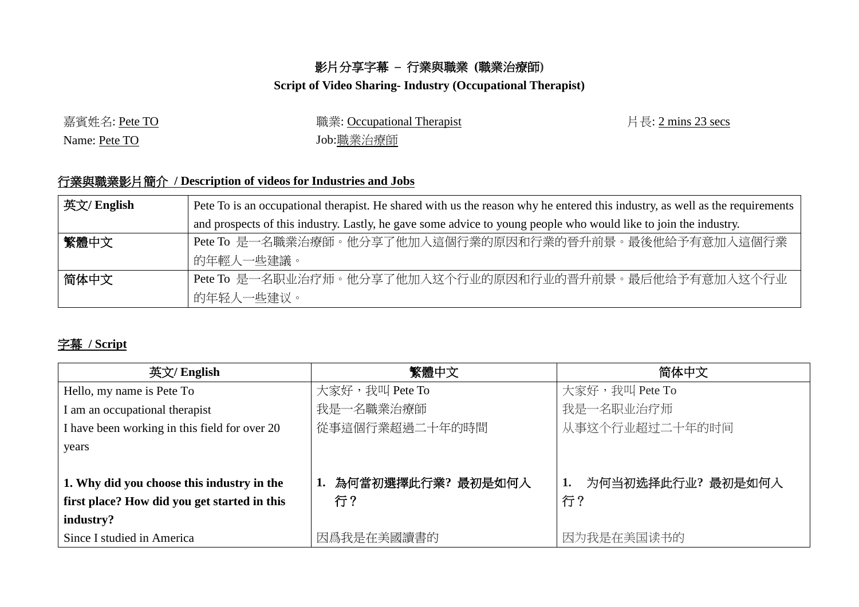## 影片分享字幕 **–** 行業與職業 **(**職業治療師**)**

## **Script of Video Sharing- Industry (Occupational Therapist)**

嘉賓姓名: Pete TO 職業: Occupational Therapist 片長: 2 mins 23 secs Name: Pete TO Job: 職業治療師

## 行業與職業影片簡介 **/ Description of videos for Industries and Jobs**

| 英文/ English | Pete To is an occupational therapist. He shared with us the reason why he entered this industry, as well as the requirements |  |  |
|-------------|------------------------------------------------------------------------------------------------------------------------------|--|--|
|             | and prospects of this industry. Lastly, he gave some advice to young people who would like to join the industry.             |  |  |
| 繁體中文        | Pete To 是一名職業治療師。他分享了他加入這個行業的原因和行業的晉升前景。最後他給予有意加入這個行業                                                                        |  |  |
|             | 的年輕人一些建議。                                                                                                                    |  |  |
| 简体中文        | Pete To 是一名职业治疗师。他分享了他加入这个行业的原因和行业的晋升前景。最后他给予有意加入这个行业                                                                        |  |  |
|             | 的年轻人一些建议。                                                                                                                    |  |  |

## 字幕 **/ Script**

| 英文/ English                                   | 繁體中文                 | 简体中文                   |
|-----------------------------------------------|----------------------|------------------------|
| Hello, my name is Pete To                     | 大家好,我叫 Pete To       | 大家好,我叫 Pete To         |
| I am an occupational therapist                | 我是一名職業治療師            | 我是一名职业治疗师              |
| I have been working in this field for over 20 | 從事這個行業超過二十年的時間       | 从事这个行业超过二十年的时间         |
| years                                         |                      |                        |
|                                               |                      |                        |
| 1. Why did you choose this industry in the    | 1. 為何當初選擇此行業? 最初是如何入 | 为何当初选择此行业?最初是如何入<br>1. |
| first place? How did you get started in this  | 行?                   | 行?                     |
| industry?                                     |                      |                        |
| Since I studied in America                    | 因爲我是在美國讀書的           | 因为我是在美国读书的             |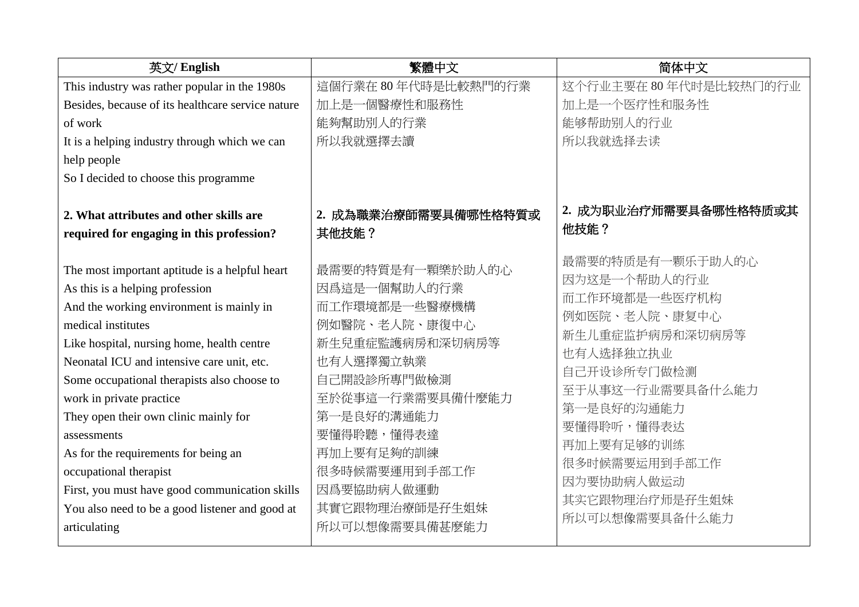| 英文/ English                                                                          | 繁體中文                           | 简体中文                                              |
|--------------------------------------------------------------------------------------|--------------------------------|---------------------------------------------------|
| This industry was rather popular in the 1980s                                        | 這個行業在 80年代時是比較熱門的行業            | 这个行业主要在 80年代时是比较热门的行业                             |
| Besides, because of its healthcare service nature                                    | 加上是一個醫療性和服務性                   | 加上是一个医疗性和服务性                                      |
| of work                                                                              | 能夠幫助別人的行業                      | 能够帮助别人的行业                                         |
| It is a helping industry through which we can                                        | 所以我就選擇去讀                       | 所以我就选择去读                                          |
| help people                                                                          |                                |                                                   |
| So I decided to choose this programme                                                |                                |                                                   |
| 2. What attributes and other skills are<br>required for engaging in this profession? | 2. 成為職業治療師需要具備哪性格特質或<br>其他技能?  | 2. 成为职业治疗师需要具备哪性格特质或其<br>他技能?<br>最需要的特质是有一颗乐于助人的心 |
| The most important aptitude is a helpful heart                                       | 最需要的特質是有一顆樂於助人的心               | 因为这是一个帮助人的行业                                      |
| As this is a helping profession                                                      | 因爲這是一個幫助人的行業                   | 而工作环境都是一些医疗机构                                     |
| And the working environment is mainly in                                             | 而工作環境都是一些醫療機構                  | 例如医院、老人院、康复中心                                     |
| medical institutes                                                                   | 例如醫院、老人院、康復中心                  | 新生儿重症监护病房和深切病房等                                   |
| Like hospital, nursing home, health centre                                           | 新生兒重症監護病房和深切病房等                | 也有人选择独立执业                                         |
| Neonatal ICU and intensive care unit, etc.                                           | 也有人選擇獨立執業                      | 自己开设诊所专门做检测                                       |
| Some occupational therapists also choose to                                          | 自己開設診所專門做檢測                    | 至于从事这一行业需要具备什么能力                                  |
| work in private practice<br>They open their own clinic mainly for                    | 至於從事這一行業需要具備什麼能力<br>第一是良好的溝通能力 | 第一是良好的沟通能力                                        |
| assessments                                                                          | 要懂得聆聽,懂得表達                     | 要懂得聆听,懂得表达                                        |
| As for the requirements for being an                                                 | 再加上要有足夠的訓練                     | 再加上要有足够的训练                                        |
| occupational therapist                                                               | 很多時候需要運用到手部工作                  | 很多时候需要运用到手部工作                                     |
| First, you must have good communication skills                                       | 因爲要協助病人做運動                     | 因为要协助病人做运动                                        |
| You also need to be a good listener and good at                                      | 其實它跟物理治療師是孖生姐妹                 | 其实它跟物理治疗师是孖生姐妹                                    |
| articulating                                                                         | 所以可以想像需要具備甚麼能力                 | 所以可以想像需要具备什么能力                                    |
|                                                                                      |                                |                                                   |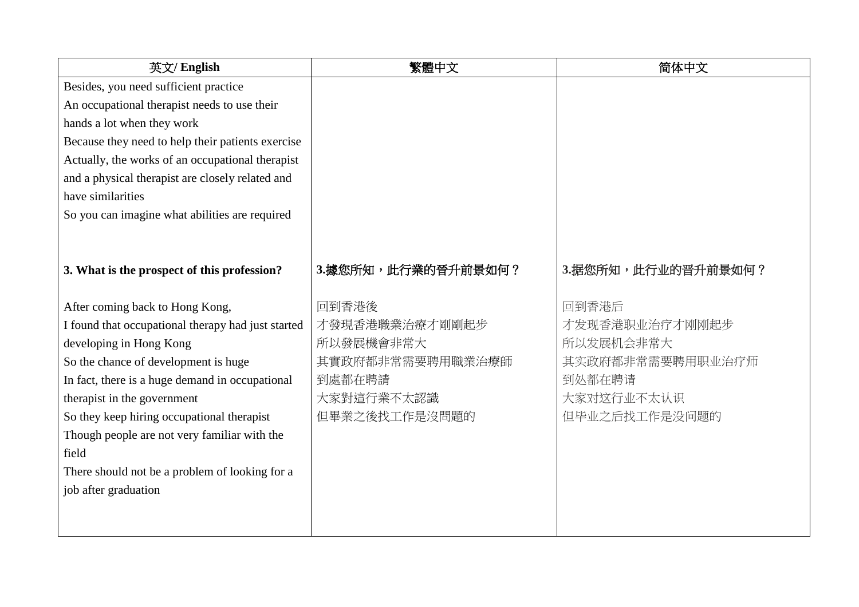| 英文/ English                                        | 繁體中文               | 简体中文               |
|----------------------------------------------------|--------------------|--------------------|
| Besides, you need sufficient practice              |                    |                    |
| An occupational therapist needs to use their       |                    |                    |
| hands a lot when they work                         |                    |                    |
| Because they need to help their patients exercise  |                    |                    |
| Actually, the works of an occupational therapist   |                    |                    |
| and a physical therapist are closely related and   |                    |                    |
| have similarities                                  |                    |                    |
| So you can imagine what abilities are required     |                    |                    |
|                                                    |                    |                    |
|                                                    |                    |                    |
| 3. What is the prospect of this profession?        | 3.據您所知,此行業的晉升前景如何? | 3.据您所知,此行业的晋升前景如何? |
|                                                    |                    |                    |
| After coming back to Hong Kong,                    | 回到香港後              | 回到香港后              |
| I found that occupational therapy had just started | 才發現香港職業治療才剛剛起步     | 才发现香港职业治疗才刚刚起步     |
| developing in Hong Kong                            | 所以發展機會非常大          | 所以发展机会非常大          |
| So the chance of development is huge               | 其實政府都非常需要聘用職業治療師   | 其实政府都非常需要聘用职业治疗师   |
| In fact, there is a huge demand in occupational    | 到處都在聘請             | 到处都在聘请             |
| therapist in the government                        | 大家對這行業不太認識         | 大家对这行业不太认识         |
| So they keep hiring occupational therapist         | 但畢業之後找工作是沒問題的      | 但毕业之后找工作是没问题的      |
| Though people are not very familiar with the       |                    |                    |
| field                                              |                    |                    |
| There should not be a problem of looking for a     |                    |                    |
| job after graduation                               |                    |                    |
|                                                    |                    |                    |
|                                                    |                    |                    |